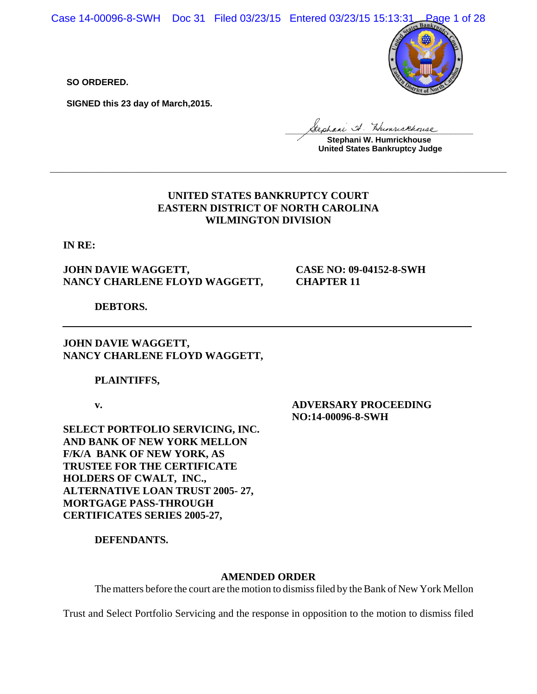Case 14-00096-8-SWH Doc 31 Filed 03/23/15 Entered 03/23/15 15:13:31 Page 1 of 28



**SO ORDERED.**

**SIGNED this 23 day of March,2015.**

tephan + Annualhouse

**Stephani W. Humrickhouse United States Bankruptcy Judge**

# **UNITED STATES BANKRUPTCY COURT EASTERN DISTRICT OF NORTH CAROLINA WILMINGTON DIVISION**

**\_\_\_\_\_\_\_\_\_\_\_\_\_\_\_\_\_\_\_\_\_\_\_\_\_\_\_\_\_\_\_\_\_\_\_\_\_\_\_\_\_\_\_\_\_\_\_\_\_\_\_\_\_\_\_\_\_\_\_\_\_\_\_\_\_\_\_\_\_\_\_\_\_**

**IN RE:**

**JOHN DAVIE WAGGETT, NANCY CHARLENE FLOYD WAGGETT,** **CASE NO: 09-04152-8-SWH CHAPTER 11**

**ADVERSARY PROCEEDING** 

**NO:14-00096-8-SWH**

**DEBTORS.**

**JOHN DAVIE WAGGETT, NANCY CHARLENE FLOYD WAGGETT,**

**PLAINTIFFS,** 

**v.**

**SELECT PORTFOLIO SERVICING, INC. AND BANK OF NEW YORK MELLON F/K/A BANK OF NEW YORK, AS TRUSTEE FOR THE CERTIFICATE HOLDERS OF CWALT, INC., ALTERNATIVE LOAN TRUST 2005- 27, MORTGAGE PASS-THROUGH CERTIFICATES SERIES 2005-27,** 

**DEFENDANTS.**

### **AMENDED ORDER**

The matters before the court are the motion to dismiss filed by the Bank of New York Mellon

Trust and Select Portfolio Servicing and the response in opposition to the motion to dismiss filed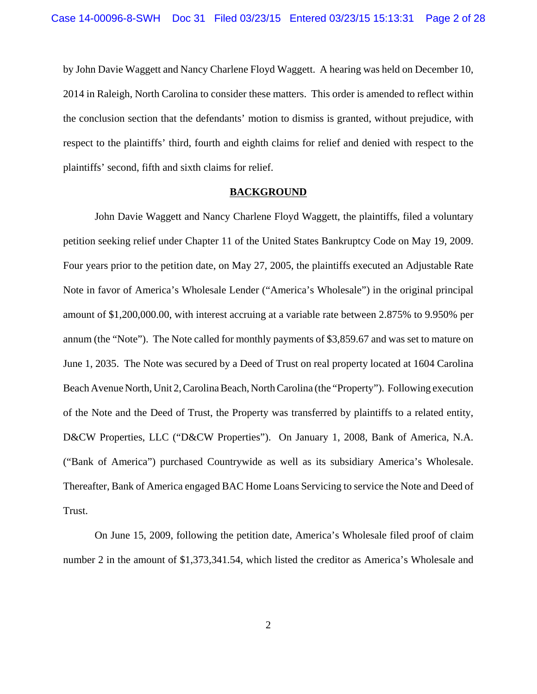by John Davie Waggett and Nancy Charlene Floyd Waggett. A hearing was held on December 10, 2014 in Raleigh, North Carolina to consider these matters. This order is amended to reflect within the conclusion section that the defendants' motion to dismiss is granted, without prejudice, with respect to the plaintiffs' third, fourth and eighth claims for relief and denied with respect to the plaintiffs' second, fifth and sixth claims for relief.

### **BACKGROUND**

John Davie Waggett and Nancy Charlene Floyd Waggett, the plaintiffs, filed a voluntary petition seeking relief under Chapter 11 of the United States Bankruptcy Code on May 19, 2009. Four years prior to the petition date, on May 27, 2005, the plaintiffs executed an Adjustable Rate Note in favor of America's Wholesale Lender ("America's Wholesale") in the original principal amount of \$1,200,000.00, with interest accruing at a variable rate between 2.875% to 9.950% per annum (the "Note"). The Note called for monthly payments of \$3,859.67 and was set to mature on June 1, 2035. The Note was secured by a Deed of Trust on real property located at 1604 Carolina Beach Avenue North, Unit 2, Carolina Beach, North Carolina (the "Property"). Following execution of the Note and the Deed of Trust, the Property was transferred by plaintiffs to a related entity, D&CW Properties, LLC ("D&CW Properties"). On January 1, 2008, Bank of America, N.A. ("Bank of America") purchased Countrywide as well as its subsidiary America's Wholesale. Thereafter, Bank of America engaged BAC Home Loans Servicing to service the Note and Deed of Trust.

On June 15, 2009, following the petition date, America's Wholesale filed proof of claim number 2 in the amount of \$1,373,341.54, which listed the creditor as America's Wholesale and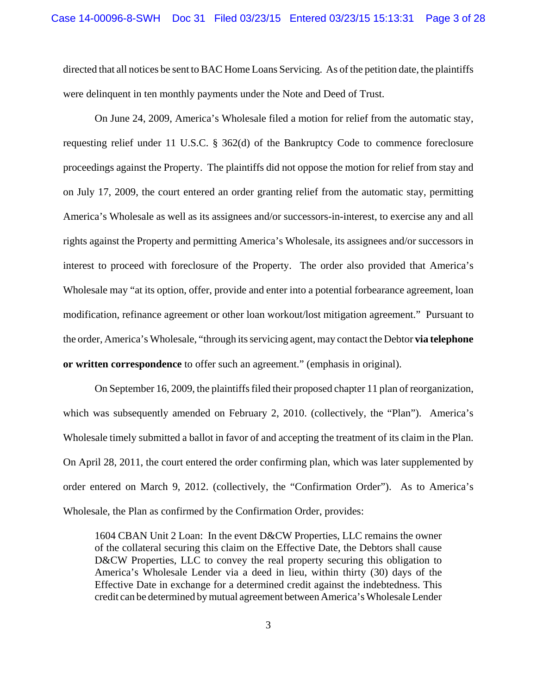directed that all notices be sent to BAC Home Loans Servicing. As of the petition date, the plaintiffs were delinquent in ten monthly payments under the Note and Deed of Trust.

On June 24, 2009, America's Wholesale filed a motion for relief from the automatic stay, requesting relief under 11 U.S.C. § 362(d) of the Bankruptcy Code to commence foreclosure proceedings against the Property. The plaintiffs did not oppose the motion for relief from stay and on July 17, 2009, the court entered an order granting relief from the automatic stay, permitting America's Wholesale as well as its assignees and/or successors-in-interest, to exercise any and all rights against the Property and permitting America's Wholesale, its assignees and/or successors in interest to proceed with foreclosure of the Property. The order also provided that America's Wholesale may "at its option, offer, provide and enter into a potential forbearance agreement, loan modification, refinance agreement or other loan workout/lost mitigation agreement." Pursuant to the order, America's Wholesale, "through its servicing agent, may contact the Debtor **via telephone or written correspondence** to offer such an agreement." (emphasis in original).

On September 16, 2009, the plaintiffs filed their proposed chapter 11 plan of reorganization, which was subsequently amended on February 2, 2010. (collectively, the "Plan"). America's Wholesale timely submitted a ballot in favor of and accepting the treatment of its claim in the Plan. On April 28, 2011, the court entered the order confirming plan, which was later supplemented by order entered on March 9, 2012. (collectively, the "Confirmation Order"). As to America's Wholesale, the Plan as confirmed by the Confirmation Order, provides:

1604 CBAN Unit 2 Loan: In the event D&CW Properties, LLC remains the owner of the collateral securing this claim on the Effective Date, the Debtors shall cause D&CW Properties, LLC to convey the real property securing this obligation to America's Wholesale Lender via a deed in lieu, within thirty (30) days of the Effective Date in exchange for a determined credit against the indebtedness. This credit can be determined by mutual agreement between America's Wholesale Lender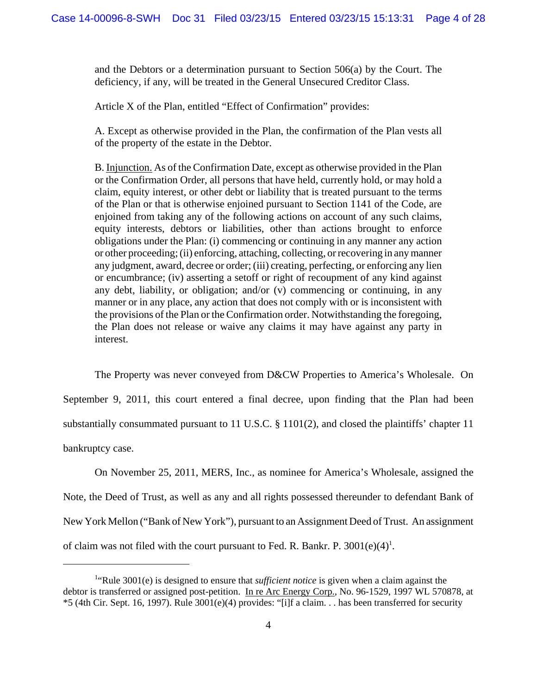and the Debtors or a determination pursuant to Section 506(a) by the Court. The deficiency, if any, will be treated in the General Unsecured Creditor Class.

Article X of the Plan, entitled "Effect of Confirmation" provides:

A. Except as otherwise provided in the Plan, the confirmation of the Plan vests all of the property of the estate in the Debtor.

B. Injunction. As of the Confirmation Date, except as otherwise provided in the Plan or the Confirmation Order, all persons that have held, currently hold, or may hold a claim, equity interest, or other debt or liability that is treated pursuant to the terms of the Plan or that is otherwise enjoined pursuant to Section 1141 of the Code, are enjoined from taking any of the following actions on account of any such claims, equity interests, debtors or liabilities, other than actions brought to enforce obligations under the Plan: (i) commencing or continuing in any manner any action or other proceeding; (ii) enforcing, attaching, collecting, or recovering in any manner any judgment, award, decree or order; (iii) creating, perfecting, or enforcing any lien or encumbrance; (iv) asserting a setoff or right of recoupment of any kind against any debt, liability, or obligation; and/or (v) commencing or continuing, in any manner or in any place, any action that does not comply with or is inconsistent with the provisions of the Plan or the Confirmation order. Notwithstanding the foregoing, the Plan does not release or waive any claims it may have against any party in interest.

The Property was never conveyed from D&CW Properties to America's Wholesale. On September 9, 2011, this court entered a final decree, upon finding that the Plan had been substantially consummated pursuant to 11 U.S.C. § 1101(2), and closed the plaintiffs' chapter 11 bankruptcy case.

On November 25, 2011, MERS, Inc., as nominee for America's Wholesale, assigned the Note, the Deed of Trust, as well as any and all rights possessed thereunder to defendant Bank of New York Mellon ("Bank of New York"), pursuant to an Assignment Deed of Trust. An assignment of claim was not filed with the court pursuant to Fed. R. Bankr. P.  $3001(e)(4)^1$ .

<sup>&</sup>lt;sup>1</sup>"Rule 3001(e) is designed to ensure that *sufficient notice* is given when a claim against the debtor is transferred or assigned post-petition. In re Arc Energy Corp., No. 96-1529, 1997 WL 570878, at \*5 (4th Cir. Sept. 16, 1997). Rule 3001(e)(4) provides: "[i]f a claim. . . has been transferred for security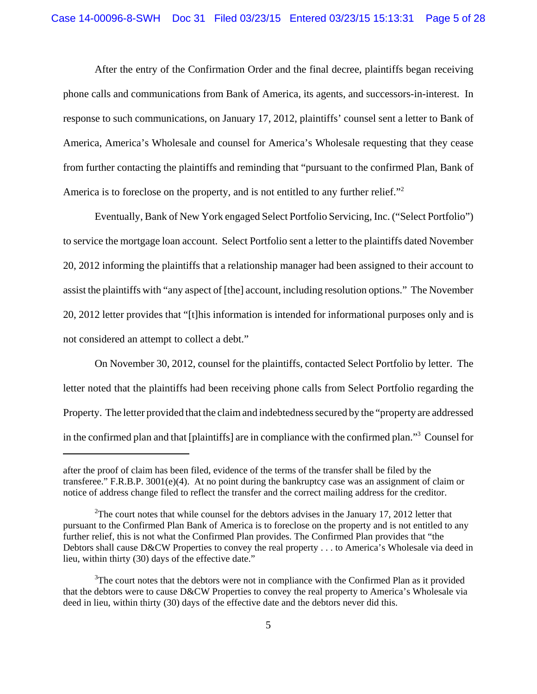After the entry of the Confirmation Order and the final decree, plaintiffs began receiving phone calls and communications from Bank of America, its agents, and successors-in-interest. In response to such communications, on January 17, 2012, plaintiffs' counsel sent a letter to Bank of America, America's Wholesale and counsel for America's Wholesale requesting that they cease from further contacting the plaintiffs and reminding that "pursuant to the confirmed Plan, Bank of America is to foreclose on the property, and is not entitled to any further relief."2

Eventually, Bank of New York engaged Select Portfolio Servicing, Inc. ("Select Portfolio") to service the mortgage loan account. Select Portfolio sent a letter to the plaintiffs dated November 20, 2012 informing the plaintiffs that a relationship manager had been assigned to their account to assist the plaintiffs with "any aspect of [the] account, including resolution options." The November 20, 2012 letter provides that "[t]his information is intended for informational purposes only and is not considered an attempt to collect a debt."

On November 30, 2012, counsel for the plaintiffs, contacted Select Portfolio by letter. The letter noted that the plaintiffs had been receiving phone calls from Select Portfolio regarding the Property. The letter provided that the claim and indebtedness secured by the "property are addressed in the confirmed plan and that [plaintiffs] are in compliance with the confirmed plan."3 Counsel for

after the proof of claim has been filed, evidence of the terms of the transfer shall be filed by the transferee." F.R.B.P. 3001(e)(4). At no point during the bankruptcy case was an assignment of claim or notice of address change filed to reflect the transfer and the correct mailing address for the creditor.

<sup>&</sup>lt;sup>2</sup>The court notes that while counsel for the debtors advises in the January 17, 2012 letter that pursuant to the Confirmed Plan Bank of America is to foreclose on the property and is not entitled to any further relief, this is not what the Confirmed Plan provides. The Confirmed Plan provides that "the Debtors shall cause D&CW Properties to convey the real property . . . to America's Wholesale via deed in lieu, within thirty (30) days of the effective date."

<sup>&</sup>lt;sup>3</sup>The court notes that the debtors were not in compliance with the Confirmed Plan as it provided that the debtors were to cause D&CW Properties to convey the real property to America's Wholesale via deed in lieu, within thirty (30) days of the effective date and the debtors never did this.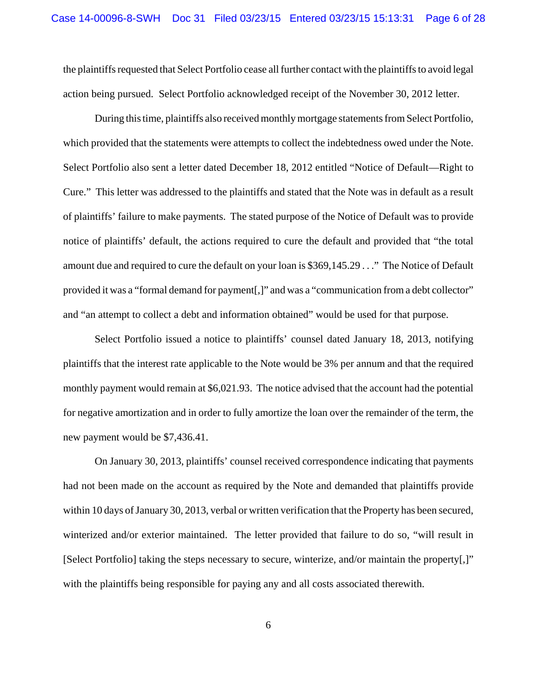the plaintiffs requested that Select Portfolio cease all further contact with the plaintiffs to avoid legal action being pursued. Select Portfolio acknowledged receipt of the November 30, 2012 letter.

During this time, plaintiffs also received monthly mortgage statements from Select Portfolio, which provided that the statements were attempts to collect the indebtedness owed under the Note. Select Portfolio also sent a letter dated December 18, 2012 entitled "Notice of Default—Right to Cure." This letter was addressed to the plaintiffs and stated that the Note was in default as a result of plaintiffs' failure to make payments. The stated purpose of the Notice of Default was to provide notice of plaintiffs' default, the actions required to cure the default and provided that "the total amount due and required to cure the default on your loan is \$369,145.29 . . ." The Notice of Default provided it was a "formal demand for payment[,]" and was a "communication from a debt collector" and "an attempt to collect a debt and information obtained" would be used for that purpose.

Select Portfolio issued a notice to plaintiffs' counsel dated January 18, 2013, notifying plaintiffs that the interest rate applicable to the Note would be 3% per annum and that the required monthly payment would remain at \$6,021.93. The notice advised that the account had the potential for negative amortization and in order to fully amortize the loan over the remainder of the term, the new payment would be \$7,436.41.

On January 30, 2013, plaintiffs' counsel received correspondence indicating that payments had not been made on the account as required by the Note and demanded that plaintiffs provide within 10 days of January 30, 2013, verbal or written verification that the Property has been secured, winterized and/or exterior maintained. The letter provided that failure to do so, "will result in [Select Portfolio] taking the steps necessary to secure, winterize, and/or maintain the property[,]" with the plaintiffs being responsible for paying any and all costs associated therewith.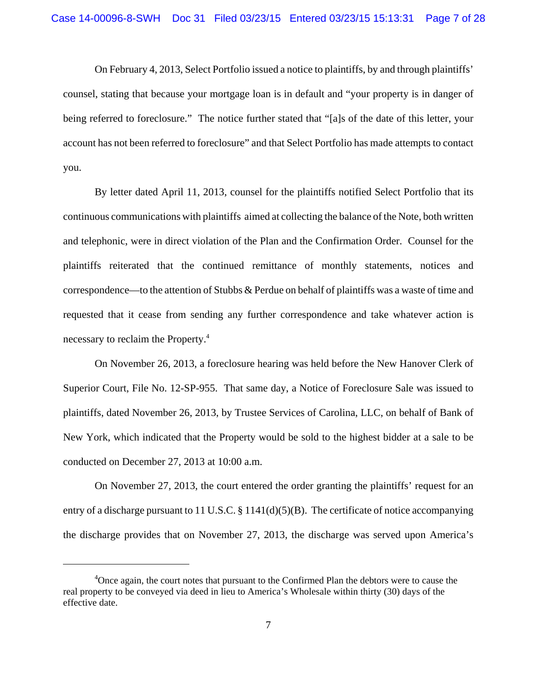On February 4, 2013, Select Portfolio issued a notice to plaintiffs, by and through plaintiffs' counsel, stating that because your mortgage loan is in default and "your property is in danger of being referred to foreclosure." The notice further stated that "[a]s of the date of this letter, your account has not been referred to foreclosure" and that Select Portfolio has made attempts to contact you.

By letter dated April 11, 2013, counsel for the plaintiffs notified Select Portfolio that its continuous communications with plaintiffs aimed at collecting the balance of the Note, both written and telephonic, were in direct violation of the Plan and the Confirmation Order. Counsel for the plaintiffs reiterated that the continued remittance of monthly statements, notices and correspondence—to the attention of Stubbs & Perdue on behalf of plaintiffs was a waste of time and requested that it cease from sending any further correspondence and take whatever action is necessary to reclaim the Property.4

On November 26, 2013, a foreclosure hearing was held before the New Hanover Clerk of Superior Court, File No. 12-SP-955. That same day, a Notice of Foreclosure Sale was issued to plaintiffs, dated November 26, 2013, by Trustee Services of Carolina, LLC, on behalf of Bank of New York, which indicated that the Property would be sold to the highest bidder at a sale to be conducted on December 27, 2013 at 10:00 a.m.

On November 27, 2013, the court entered the order granting the plaintiffs' request for an entry of a discharge pursuant to 11 U.S.C. § 1141(d)(5)(B). The certificate of notice accompanying the discharge provides that on November 27, 2013, the discharge was served upon America's

<sup>&</sup>lt;sup>4</sup>Once again, the court notes that pursuant to the Confirmed Plan the debtors were to cause the real property to be conveyed via deed in lieu to America's Wholesale within thirty (30) days of the effective date.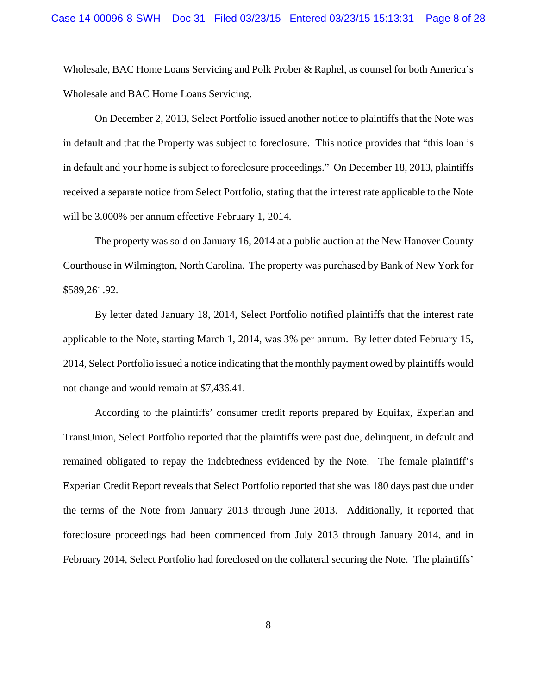Wholesale, BAC Home Loans Servicing and Polk Prober & Raphel, as counsel for both America's Wholesale and BAC Home Loans Servicing.

On December 2, 2013, Select Portfolio issued another notice to plaintiffs that the Note was in default and that the Property was subject to foreclosure. This notice provides that "this loan is in default and your home is subject to foreclosure proceedings." On December 18, 2013, plaintiffs received a separate notice from Select Portfolio, stating that the interest rate applicable to the Note will be 3.000% per annum effective February 1, 2014.

The property was sold on January 16, 2014 at a public auction at the New Hanover County Courthouse in Wilmington, North Carolina. The property was purchased by Bank of New York for \$589,261.92.

By letter dated January 18, 2014, Select Portfolio notified plaintiffs that the interest rate applicable to the Note, starting March 1, 2014, was 3% per annum. By letter dated February 15, 2014, Select Portfolio issued a notice indicating that the monthly payment owed by plaintiffs would not change and would remain at \$7,436.41.

According to the plaintiffs' consumer credit reports prepared by Equifax, Experian and TransUnion, Select Portfolio reported that the plaintiffs were past due, delinquent, in default and remained obligated to repay the indebtedness evidenced by the Note. The female plaintiff's Experian Credit Report reveals that Select Portfolio reported that she was 180 days past due under the terms of the Note from January 2013 through June 2013. Additionally, it reported that foreclosure proceedings had been commenced from July 2013 through January 2014, and in February 2014, Select Portfolio had foreclosed on the collateral securing the Note. The plaintiffs'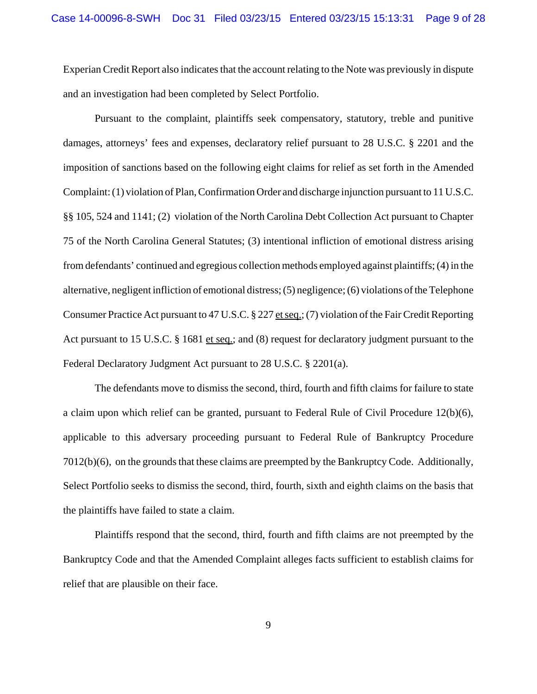Experian Credit Report also indicates that the account relating to the Note was previously in dispute and an investigation had been completed by Select Portfolio.

Pursuant to the complaint, plaintiffs seek compensatory, statutory, treble and punitive damages, attorneys' fees and expenses, declaratory relief pursuant to 28 U.S.C. § 2201 and the imposition of sanctions based on the following eight claims for relief as set forth in the Amended Complaint: (1) violation of Plan, Confirmation Order and discharge injunction pursuant to 11 U.S.C. §§ 105, 524 and 1141; (2) violation of the North Carolina Debt Collection Act pursuant to Chapter 75 of the North Carolina General Statutes; (3) intentional infliction of emotional distress arising from defendants' continued and egregious collection methods employed against plaintiffs; (4) in the alternative, negligent infliction of emotional distress; (5) negligence; (6) violations of the Telephone Consumer Practice Act pursuant to 47 U.S.C. § 227 et seq.; (7) violation of the Fair Credit Reporting Act pursuant to 15 U.S.C. § 1681 et seq.; and (8) request for declaratory judgment pursuant to the Federal Declaratory Judgment Act pursuant to 28 U.S.C. § 2201(a).

The defendants move to dismiss the second, third, fourth and fifth claims for failure to state a claim upon which relief can be granted, pursuant to Federal Rule of Civil Procedure 12(b)(6), applicable to this adversary proceeding pursuant to Federal Rule of Bankruptcy Procedure 7012(b)(6), on the grounds that these claims are preempted by the Bankruptcy Code. Additionally, Select Portfolio seeks to dismiss the second, third, fourth, sixth and eighth claims on the basis that the plaintiffs have failed to state a claim.

Plaintiffs respond that the second, third, fourth and fifth claims are not preempted by the Bankruptcy Code and that the Amended Complaint alleges facts sufficient to establish claims for relief that are plausible on their face.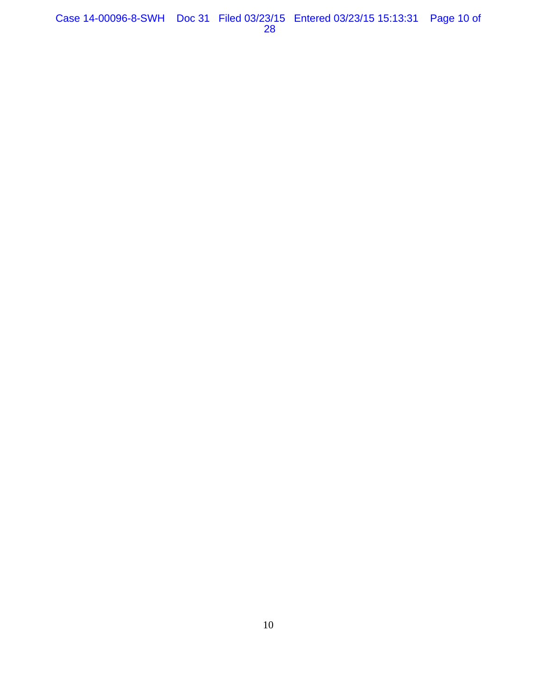Case 14-00096-8-SWH Doc 31 Filed 03/23/15 Entered 03/23/15 15:13:31 Page 10 of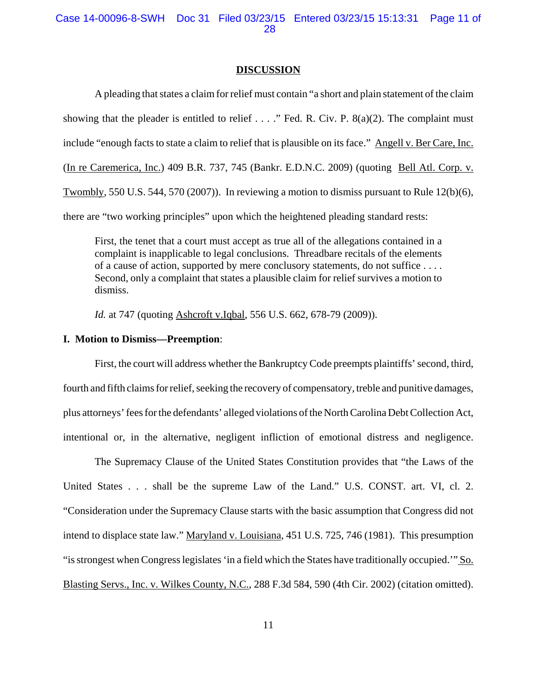#### **DISCUSSION**

A pleading that states a claim for relief must contain "a short and plain statement of the claim showing that the pleader is entitled to relief  $\ldots$ ." Fed. R. Civ. P. 8(a)(2). The complaint must include "enough facts to state a claim to relief that is plausible on its face." Angell v. Ber Care, Inc. (In re Caremerica, Inc.) 409 B.R. 737, 745 (Bankr. E.D.N.C. 2009) (quoting Bell Atl. Corp. v. Twombly, 550 U.S. 544, 570 (2007)). In reviewing a motion to dismiss pursuant to Rule 12(b)(6), there are "two working principles" upon which the heightened pleading standard rests:

First, the tenet that a court must accept as true all of the allegations contained in a complaint is inapplicable to legal conclusions. Threadbare recitals of the elements of a cause of action, supported by mere conclusory statements, do not suffice . . . . Second, only a complaint that states a plausible claim for relief survives a motion to dismiss.

*Id.* at 747 (quoting Ashcroft v.Iqbal, 556 U.S. 662, 678-79 (2009)).

### **I. Motion to Dismiss—Preemption**:

First, the court will address whether the Bankruptcy Code preempts plaintiffs' second, third, fourth and fifth claims for relief, seeking the recovery of compensatory, treble and punitive damages, plus attorneys' fees for the defendants' alleged violations of the North Carolina Debt Collection Act, intentional or, in the alternative, negligent infliction of emotional distress and negligence.

The Supremacy Clause of the United States Constitution provides that "the Laws of the United States . . . shall be the supreme Law of the Land." U.S. CONST. art. VI, cl. 2. "Consideration under the Supremacy Clause starts with the basic assumption that Congress did not intend to displace state law." Maryland v. Louisiana, 451 U.S. 725, 746 (1981). This presumption "is strongest when Congress legislates 'in a field which the States have traditionally occupied.'" So. Blasting Servs., Inc. v. Wilkes County, N.C., 288 F.3d 584, 590 (4th Cir. 2002) (citation omitted).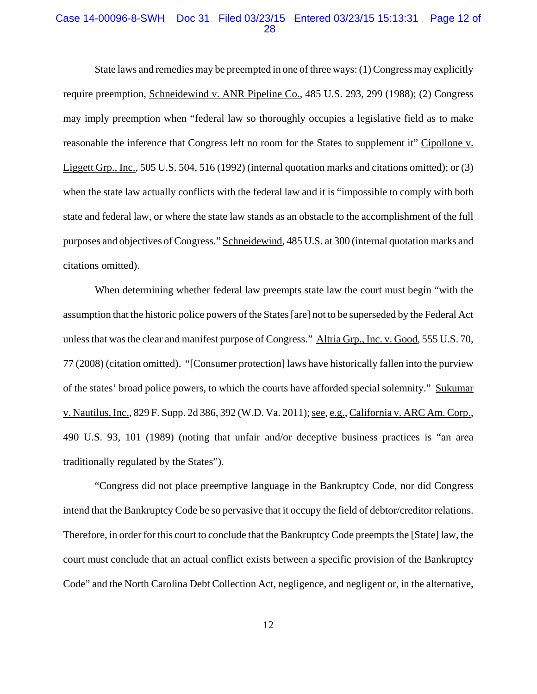### Case 14-00096-8-SWH Doc 31 Filed 03/23/15 Entered 03/23/15 15:13:31 Page 12 of 28

State laws and remedies may be preempted in one of three ways: (1) Congress may explicitly require preemption, Schneidewind v. ANR Pipeline Co., 485 U.S. 293, 299 (1988); (2) Congress may imply preemption when "federal law so thoroughly occupies a legislative field as to make reasonable the inference that Congress left no room for the States to supplement it" Cipollone v. Liggett Grp., Inc., 505 U.S. 504, 516 (1992) (internal quotation marks and citations omitted); or (3) when the state law actually conflicts with the federal law and it is "impossible to comply with both state and federal law, or where the state law stands as an obstacle to the accomplishment of the full purposes and objectives of Congress." Schneidewind, 485 U.S. at 300 (internal quotation marks and citations omitted).

When determining whether federal law preempts state law the court must begin "with the assumption that the historic police powers of the States [are] not to be superseded by the Federal Act unless that was the clear and manifest purpose of Congress." Altria Grp., Inc. v. Good, 555 U.S. 70, 77 (2008) (citation omitted). "[Consumer protection] laws have historically fallen into the purview of the states' broad police powers, to which the courts have afforded special solemnity." Sukumar v. Nautilus, Inc., 829 F. Supp. 2d 386, 392 (W.D. Va. 2011); see, e.g., California v. ARC Am. Corp., 490 U.S. 93, 101 (1989) (noting that unfair and/or deceptive business practices is "an area traditionally regulated by the States").

"Congress did not place preemptive language in the Bankruptcy Code, nor did Congress intend that the Bankruptcy Code be so pervasive that it occupy the field of debtor/creditor relations. Therefore, in order for this court to conclude that the Bankruptcy Code preempts the [State] law, the court must conclude that an actual conflict exists between a specific provision of the Bankruptcy Code" and the North Carolina Debt Collection Act, negligence, and negligent or, in the alternative,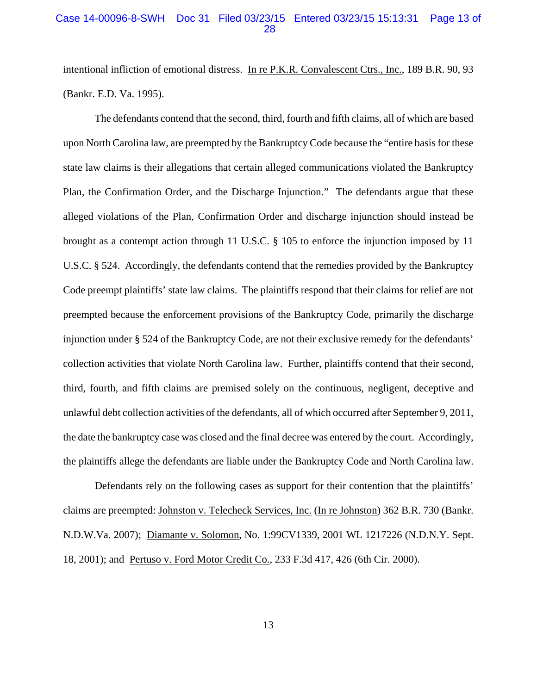## Case 14-00096-8-SWH Doc 31 Filed 03/23/15 Entered 03/23/15 15:13:31 Page 13 of 28

intentional infliction of emotional distress. In re P.K.R. Convalescent Ctrs., Inc., 189 B.R. 90, 93 (Bankr. E.D. Va. 1995).

The defendants contend that the second, third, fourth and fifth claims, all of which are based upon North Carolina law, are preempted by the Bankruptcy Code because the "entire basis for these state law claims is their allegations that certain alleged communications violated the Bankruptcy Plan, the Confirmation Order, and the Discharge Injunction." The defendants argue that these alleged violations of the Plan, Confirmation Order and discharge injunction should instead be brought as a contempt action through 11 U.S.C. § 105 to enforce the injunction imposed by 11 U.S.C. § 524. Accordingly, the defendants contend that the remedies provided by the Bankruptcy Code preempt plaintiffs' state law claims. The plaintiffs respond that their claims for relief are not preempted because the enforcement provisions of the Bankruptcy Code, primarily the discharge injunction under § 524 of the Bankruptcy Code, are not their exclusive remedy for the defendants' collection activities that violate North Carolina law. Further, plaintiffs contend that their second, third, fourth, and fifth claims are premised solely on the continuous, negligent, deceptive and unlawful debt collection activities of the defendants, all of which occurred after September 9, 2011, the date the bankruptcy case was closed and the final decree was entered by the court. Accordingly, the plaintiffs allege the defendants are liable under the Bankruptcy Code and North Carolina law.

Defendants rely on the following cases as support for their contention that the plaintiffs' claims are preempted: Johnston v. Telecheck Services, Inc. (In re Johnston) 362 B.R. 730 (Bankr. N.D.W.Va. 2007); Diamante v. Solomon, No. 1:99CV1339, 2001 WL 1217226 (N.D.N.Y. Sept. 18, 2001); and Pertuso v. Ford Motor Credit Co., 233 F.3d 417, 426 (6th Cir. 2000).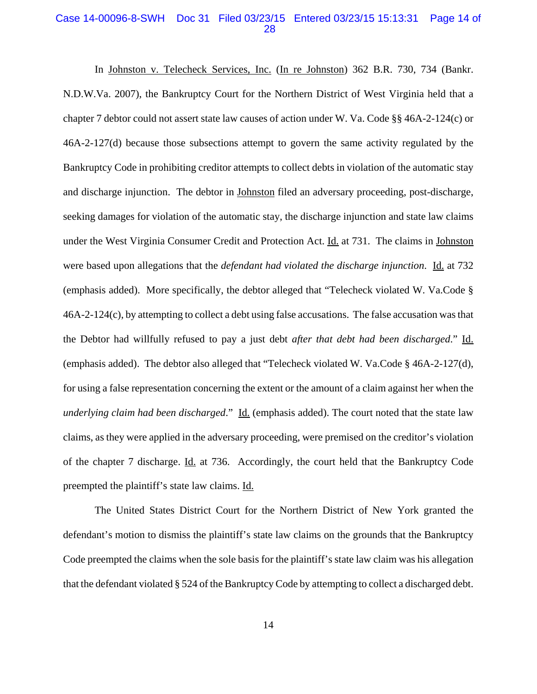### Case 14-00096-8-SWH Doc 31 Filed 03/23/15 Entered 03/23/15 15:13:31 Page 14 of 28

In Johnston v. Telecheck Services, Inc. (In re Johnston) 362 B.R. 730, 734 (Bankr. N.D.W.Va. 2007), the Bankruptcy Court for the Northern District of West Virginia held that a chapter 7 debtor could not assert state law causes of action under W. Va. Code §§ 46A-2-124(c) or 46A-2-127(d) because those subsections attempt to govern the same activity regulated by the Bankruptcy Code in prohibiting creditor attempts to collect debts in violation of the automatic stay and discharge injunction. The debtor in Johnston filed an adversary proceeding, post-discharge, seeking damages for violation of the automatic stay, the discharge injunction and state law claims under the West Virginia Consumer Credit and Protection Act. Id. at 731. The claims in Johnston were based upon allegations that the *defendant had violated the discharge injunction*. Id. at 732 (emphasis added). More specifically, the debtor alleged that "Telecheck violated W. Va.Code § 46A-2-124(c), by attempting to collect a debt using false accusations. The false accusation was that the Debtor had willfully refused to pay a just debt *after that debt had been discharged*." Id. (emphasis added). The debtor also alleged that "Telecheck violated W. Va.Code § 46A-2-127(d), for using a false representation concerning the extent or the amount of a claim against her when the *underlying claim had been discharged*." Id. (emphasis added). The court noted that the state law claims, as they were applied in the adversary proceeding, were premised on the creditor's violation of the chapter 7 discharge. Id. at 736. Accordingly, the court held that the Bankruptcy Code preempted the plaintiff's state law claims. Id.

The United States District Court for the Northern District of New York granted the defendant's motion to dismiss the plaintiff's state law claims on the grounds that the Bankruptcy Code preempted the claims when the sole basis for the plaintiff's state law claim was his allegation that the defendant violated § 524 of the Bankruptcy Code by attempting to collect a discharged debt.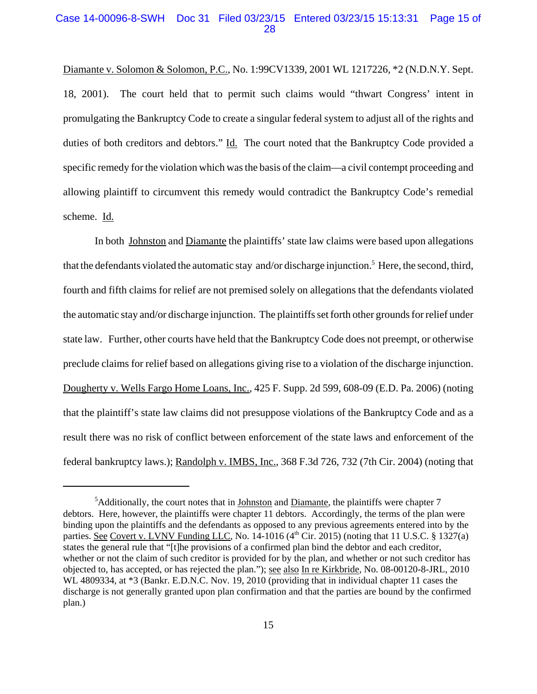### Case 14-00096-8-SWH Doc 31 Filed 03/23/15 Entered 03/23/15 15:13:31 Page 15 of 28

Diamante v. Solomon & Solomon, P.C., No. 1:99CV1339, 2001 WL 1217226, \*2 (N.D.N.Y. Sept. 18, 2001). The court held that to permit such claims would "thwart Congress' intent in promulgating the Bankruptcy Code to create a singular federal system to adjust all of the rights and duties of both creditors and debtors." Id. The court noted that the Bankruptcy Code provided a specific remedy for the violation which was the basis of the claim—a civil contempt proceeding and allowing plaintiff to circumvent this remedy would contradict the Bankruptcy Code's remedial scheme. Id.

In both Johnston and Diamante the plaintiffs' state law claims were based upon allegations that the defendants violated the automatic stay and/or discharge injunction.<sup>5</sup> Here, the second, third, fourth and fifth claims for relief are not premised solely on allegations that the defendants violated the automatic stay and/or discharge injunction. The plaintiffs set forth other grounds for relief under state law. Further, other courts have held that the Bankruptcy Code does not preempt, or otherwise preclude claims for relief based on allegations giving rise to a violation of the discharge injunction. Dougherty v. Wells Fargo Home Loans, Inc., 425 F. Supp. 2d 599, 608-09 (E.D. Pa. 2006) (noting that the plaintiff's state law claims did not presuppose violations of the Bankruptcy Code and as a result there was no risk of conflict between enforcement of the state laws and enforcement of the federal bankruptcy laws.); Randolph v. IMBS, Inc., 368 F.3d 726, 732 (7th Cir. 2004) (noting that

 $<sup>5</sup>$ Additionally, the court notes that in Johnston and Diamante, the plaintiffs were chapter 7</sup> debtors. Here, however, the plaintiffs were chapter 11 debtors. Accordingly, the terms of the plan were binding upon the plaintiffs and the defendants as opposed to any previous agreements entered into by the parties. See Covert v. LVNV Funding LLC, No.  $14-1016$  ( $4<sup>th</sup>$  Cir. 2015) (noting that 11 U.S.C. § 1327(a) states the general rule that "[t]he provisions of a confirmed plan bind the debtor and each creditor, whether or not the claim of such creditor is provided for by the plan, and whether or not such creditor has objected to, has accepted, or has rejected the plan."); see also In re Kirkbride, No. 08-00120-8-JRL, 2010 WL 4809334, at \*3 (Bankr. E.D.N.C. Nov. 19, 2010 (providing that in individual chapter 11 cases the discharge is not generally granted upon plan confirmation and that the parties are bound by the confirmed plan.)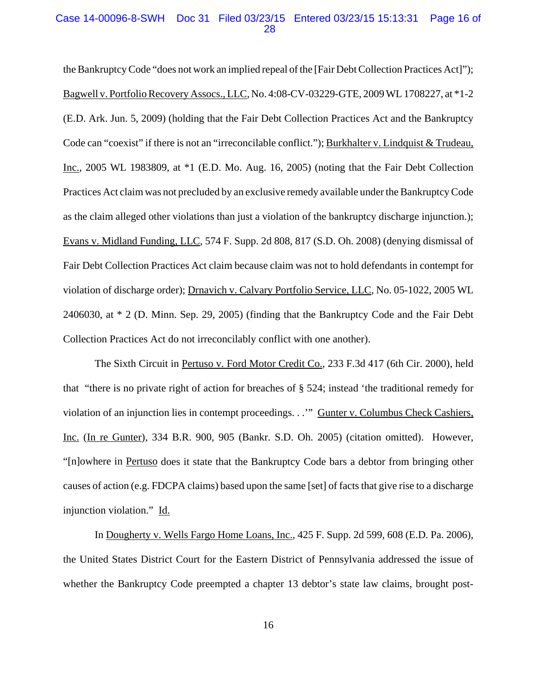### Case 14-00096-8-SWH Doc 31 Filed 03/23/15 Entered 03/23/15 15:13:31 Page 16 of 28

the Bankruptcy Code "does not work an implied repeal of the [Fair Debt Collection Practices Act]"); Bagwell v. Portfolio Recovery Assocs., LLC, No. 4:08-CV-03229-GTE, 2009 WL 1708227, at \*1-2 (E.D. Ark. Jun. 5, 2009) (holding that the Fair Debt Collection Practices Act and the Bankruptcy Code can "coexist" if there is not an "irreconcilable conflict."); Burkhalter v. Lindquist & Trudeau, Inc., 2005 WL 1983809, at \*1 (E.D. Mo. Aug. 16, 2005) (noting that the Fair Debt Collection Practices Act claim was not precluded by an exclusive remedy available under the Bankruptcy Code as the claim alleged other violations than just a violation of the bankruptcy discharge injunction.); Evans v. Midland Funding, LLC, 574 F. Supp. 2d 808, 817 (S.D. Oh. 2008) (denying dismissal of Fair Debt Collection Practices Act claim because claim was not to hold defendants in contempt for violation of discharge order); Drnavich v. Calvary Portfolio Service, LLC, No. 05-1022, 2005 WL 2406030, at \* 2 (D. Minn. Sep. 29, 2005) (finding that the Bankruptcy Code and the Fair Debt Collection Practices Act do not irreconcilably conflict with one another).

The Sixth Circuit in Pertuso v. Ford Motor Credit Co., 233 F.3d 417 (6th Cir. 2000), held that "there is no private right of action for breaches of § 524; instead 'the traditional remedy for violation of an injunction lies in contempt proceedings. . .'" Gunter v. Columbus Check Cashiers, Inc. (In re Gunter), 334 B.R. 900, 905 (Bankr. S.D. Oh. 2005) (citation omitted). However, "[n]owhere in Pertuso does it state that the Bankruptcy Code bars a debtor from bringing other causes of action (e.g. FDCPA claims) based upon the same [set] of facts that give rise to a discharge injunction violation." Id.

In Dougherty v. Wells Fargo Home Loans, Inc., 425 F. Supp. 2d 599, 608 (E.D. Pa. 2006), the United States District Court for the Eastern District of Pennsylvania addressed the issue of whether the Bankruptcy Code preempted a chapter 13 debtor's state law claims, brought post-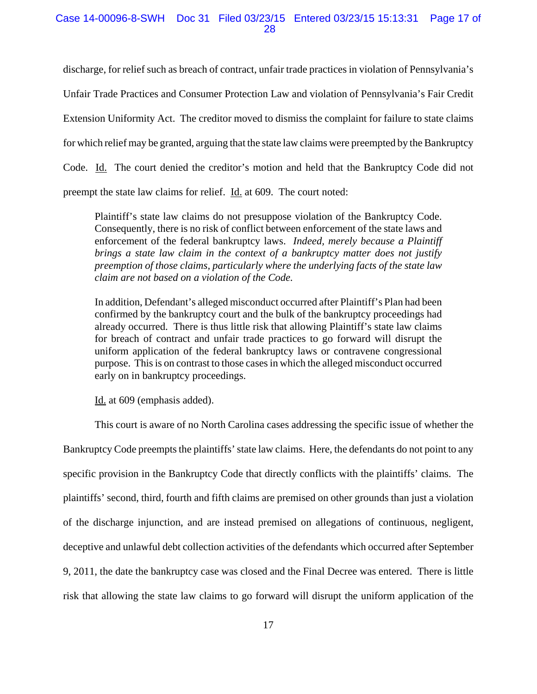### Case 14-00096-8-SWH Doc 31 Filed 03/23/15 Entered 03/23/15 15:13:31 Page 17 of 28

discharge, for relief such as breach of contract, unfair trade practices in violation of Pennsylvania's Unfair Trade Practices and Consumer Protection Law and violation of Pennsylvania's Fair Credit Extension Uniformity Act. The creditor moved to dismiss the complaint for failure to state claims for which relief may be granted, arguing that the state law claims were preempted by the Bankruptcy Code. Id. The court denied the creditor's motion and held that the Bankruptcy Code did not preempt the state law claims for relief. Id. at 609. The court noted:

Plaintiff's state law claims do not presuppose violation of the Bankruptcy Code. Consequently, there is no risk of conflict between enforcement of the state laws and enforcement of the federal bankruptcy laws. *Indeed, merely because a Plaintiff brings a state law claim in the context of a bankruptcy matter does not justify preemption of those claims, particularly where the underlying facts of the state law claim are not based on a violation of the Code.*

In addition, Defendant's alleged misconduct occurred after Plaintiff's Plan had been confirmed by the bankruptcy court and the bulk of the bankruptcy proceedings had already occurred. There is thus little risk that allowing Plaintiff's state law claims for breach of contract and unfair trade practices to go forward will disrupt the uniform application of the federal bankruptcy laws or contravene congressional purpose. This is on contrast to those cases in which the alleged misconduct occurred early on in bankruptcy proceedings.

Id. at 609 (emphasis added).

This court is aware of no North Carolina cases addressing the specific issue of whether the

Bankruptcy Code preempts the plaintiffs' state law claims. Here, the defendants do not point to any specific provision in the Bankruptcy Code that directly conflicts with the plaintiffs' claims. The plaintiffs' second, third, fourth and fifth claims are premised on other grounds than just a violation of the discharge injunction, and are instead premised on allegations of continuous, negligent, deceptive and unlawful debt collection activities of the defendants which occurred after September 9, 2011, the date the bankruptcy case was closed and the Final Decree was entered. There is little risk that allowing the state law claims to go forward will disrupt the uniform application of the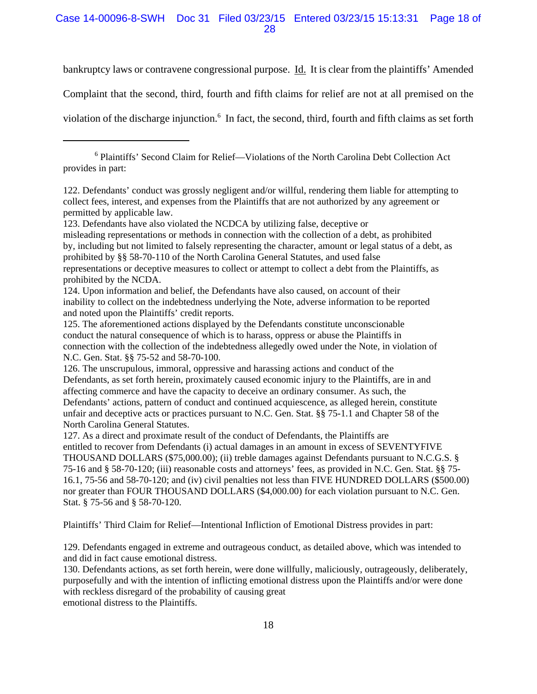bankruptcy laws or contravene congressional purpose. Id. It is clear from the plaintiffs' Amended

Complaint that the second, third, fourth and fifth claims for relief are not at all premised on the

violation of the discharge injunction.<sup>6</sup> In fact, the second, third, fourth and fifth claims as set forth

misleading representations or methods in connection with the collection of a debt, as prohibited by, including but not limited to falsely representing the character, amount or legal status of a debt, as prohibited by §§ 58-70-110 of the North Carolina General Statutes, and used false representations or deceptive measures to collect or attempt to collect a debt from the Plaintiffs, as prohibited by the NCDA.

124. Upon information and belief, the Defendants have also caused, on account of their inability to collect on the indebtedness underlying the Note, adverse information to be reported and noted upon the Plaintiffs' credit reports.

125. The aforementioned actions displayed by the Defendants constitute unconscionable conduct the natural consequence of which is to harass, oppress or abuse the Plaintiffs in connection with the collection of the indebtedness allegedly owed under the Note, in violation of N.C. Gen. Stat. §§ 75-52 and 58-70-100.

126. The unscrupulous, immoral, oppressive and harassing actions and conduct of the Defendants, as set forth herein, proximately caused economic injury to the Plaintiffs, are in and affecting commerce and have the capacity to deceive an ordinary consumer. As such, the Defendants' actions, pattern of conduct and continued acquiescence, as alleged herein, constitute unfair and deceptive acts or practices pursuant to N.C. Gen. Stat. §§ 75-1.1 and Chapter 58 of the North Carolina General Statutes.

127. As a direct and proximate result of the conduct of Defendants, the Plaintiffs are

entitled to recover from Defendants (i) actual damages in an amount in excess of SEVENTYFIVE THOUSAND DOLLARS (\$75,000.00); (ii) treble damages against Defendants pursuant to N.C.G.S. § 75-16 and § 58-70-120; (iii) reasonable costs and attorneys' fees, as provided in N.C. Gen. Stat. §§ 75- 16.1, 75-56 and 58-70-120; and (iv) civil penalties not less than FIVE HUNDRED DOLLARS (\$500.00) nor greater than FOUR THOUSAND DOLLARS (\$4,000.00) for each violation pursuant to N.C. Gen. Stat. § 75-56 and § 58-70-120.

Plaintiffs' Third Claim for Relief—Intentional Infliction of Emotional Distress provides in part:

129. Defendants engaged in extreme and outrageous conduct, as detailed above, which was intended to and did in fact cause emotional distress.

130. Defendants actions, as set forth herein, were done willfully, maliciously, outrageously, deliberately, purposefully and with the intention of inflicting emotional distress upon the Plaintiffs and/or were done with reckless disregard of the probability of causing great emotional distress to the Plaintiffs.

<sup>&</sup>lt;sup>6</sup> Plaintiffs' Second Claim for Relief—Violations of the North Carolina Debt Collection Act provides in part:

<sup>122.</sup> Defendants' conduct was grossly negligent and/or willful, rendering them liable for attempting to collect fees, interest, and expenses from the Plaintiffs that are not authorized by any agreement or permitted by applicable law.

<sup>123.</sup> Defendants have also violated the NCDCA by utilizing false, deceptive or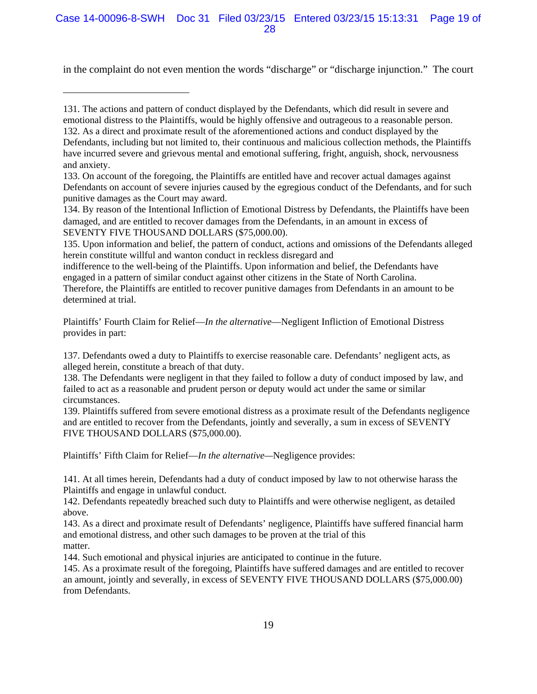## Case 14-00096-8-SWH Doc 31 Filed 03/23/15 Entered 03/23/15 15:13:31 Page 19 of 28

in the complaint do not even mention the words "discharge" or "discharge injunction." The court

133. On account of the foregoing, the Plaintiffs are entitled have and recover actual damages against Defendants on account of severe injuries caused by the egregious conduct of the Defendants, and for such punitive damages as the Court may award.

134. By reason of the Intentional Infliction of Emotional Distress by Defendants, the Plaintiffs have been damaged, and are entitled to recover damages from the Defendants, in an amount in excess of SEVENTY FIVE THOUSAND DOLLARS (\$75,000.00).

135. Upon information and belief, the pattern of conduct, actions and omissions of the Defendants alleged herein constitute willful and wanton conduct in reckless disregard and

indifference to the well-being of the Plaintiffs. Upon information and belief, the Defendants have engaged in a pattern of similar conduct against other citizens in the State of North Carolina.

Therefore, the Plaintiffs are entitled to recover punitive damages from Defendants in an amount to be determined at trial.

Plaintiffs' Fourth Claim for Relief—*In the alternative*—Negligent Infliction of Emotional Distress provides in part:

137. Defendants owed a duty to Plaintiffs to exercise reasonable care. Defendants' negligent acts, as alleged herein, constitute a breach of that duty.

138. The Defendants were negligent in that they failed to follow a duty of conduct imposed by law, and failed to act as a reasonable and prudent person or deputy would act under the same or similar circumstances.

139. Plaintiffs suffered from severe emotional distress as a proximate result of the Defendants negligence and are entitled to recover from the Defendants, jointly and severally, a sum in excess of SEVENTY FIVE THOUSAND DOLLARS (\$75,000.00).

Plaintiffs' Fifth Claim for Relief—*In the alternative—*Negligence provides:

141. At all times herein, Defendants had a duty of conduct imposed by law to not otherwise harass the Plaintiffs and engage in unlawful conduct.

142. Defendants repeatedly breached such duty to Plaintiffs and were otherwise negligent, as detailed above.

143. As a direct and proximate result of Defendants' negligence, Plaintiffs have suffered financial harm and emotional distress, and other such damages to be proven at the trial of this matter.

144. Such emotional and physical injuries are anticipated to continue in the future.

145. As a proximate result of the foregoing, Plaintiffs have suffered damages and are entitled to recover an amount, jointly and severally, in excess of SEVENTY FIVE THOUSAND DOLLARS (\$75,000.00) from Defendants.

<sup>131.</sup> The actions and pattern of conduct displayed by the Defendants, which did result in severe and emotional distress to the Plaintiffs, would be highly offensive and outrageous to a reasonable person.

<sup>132.</sup> As a direct and proximate result of the aforementioned actions and conduct displayed by the Defendants, including but not limited to, their continuous and malicious collection methods, the Plaintiffs have incurred severe and grievous mental and emotional suffering, fright, anguish, shock, nervousness and anxiety.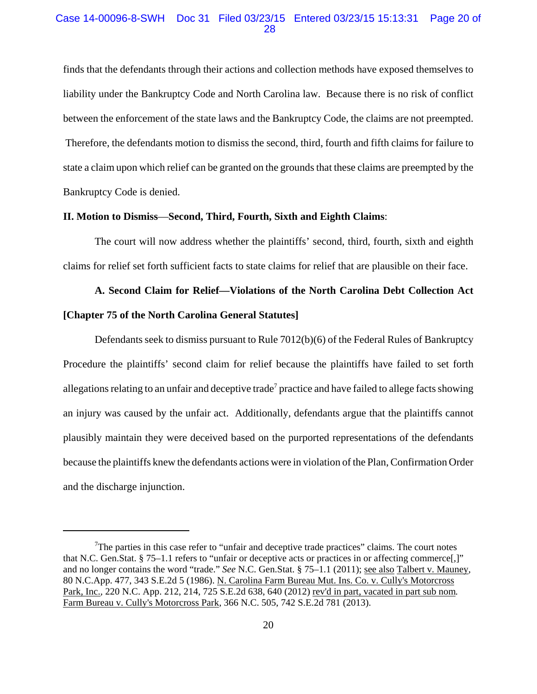### Case 14-00096-8-SWH Doc 31 Filed 03/23/15 Entered 03/23/15 15:13:31 Page 20 of 28

finds that the defendants through their actions and collection methods have exposed themselves to liability under the Bankruptcy Code and North Carolina law. Because there is no risk of conflict between the enforcement of the state laws and the Bankruptcy Code, the claims are not preempted. Therefore, the defendants motion to dismiss the second, third, fourth and fifth claims for failure to state a claim upon which relief can be granted on the grounds that these claims are preempted by the Bankruptcy Code is denied.

## **II. Motion to Dismiss**—**Second, Third, Fourth, Sixth and Eighth Claims**:

The court will now address whether the plaintiffs' second, third, fourth, sixth and eighth claims for relief set forth sufficient facts to state claims for relief that are plausible on their face.

# **A. Second Claim for Relief—Violations of the North Carolina Debt Collection Act [Chapter 75 of the North Carolina General Statutes]**

Defendants seek to dismiss pursuant to Rule 7012(b)(6) of the Federal Rules of Bankruptcy Procedure the plaintiffs' second claim for relief because the plaintiffs have failed to set forth allegations relating to an unfair and deceptive trade<sup>7</sup> practice and have failed to allege facts showing an injury was caused by the unfair act. Additionally, defendants argue that the plaintiffs cannot plausibly maintain they were deceived based on the purported representations of the defendants because the plaintiffs knew the defendants actions were in violation of the Plan, Confirmation Order and the discharge injunction.

<sup>&</sup>lt;sup>7</sup>The parties in this case refer to "unfair and deceptive trade practices" claims. The court notes that N.C. Gen.Stat. § 75–1.1 refers to "unfair or deceptive acts or practices in or affecting commerce[,]" and no longer contains the word "trade." *See* N.C. Gen.Stat. § 75–1.1 (2011); see also Talbert v. Mauney*,* 80 N.C.App. 477, 343 S.E.2d 5 (1986). N. Carolina Farm Bureau Mut. Ins. Co. v. Cully's Motorcross Park, Inc.*,* 220 N.C. App. 212, 214, 725 S.E.2d 638, 640 (2012) rev'd in part, vacated in part sub nom*.* Farm Bureau v. Cully's Motorcross Park*,* 366 N.C. 505, 742 S.E.2d 781 (2013).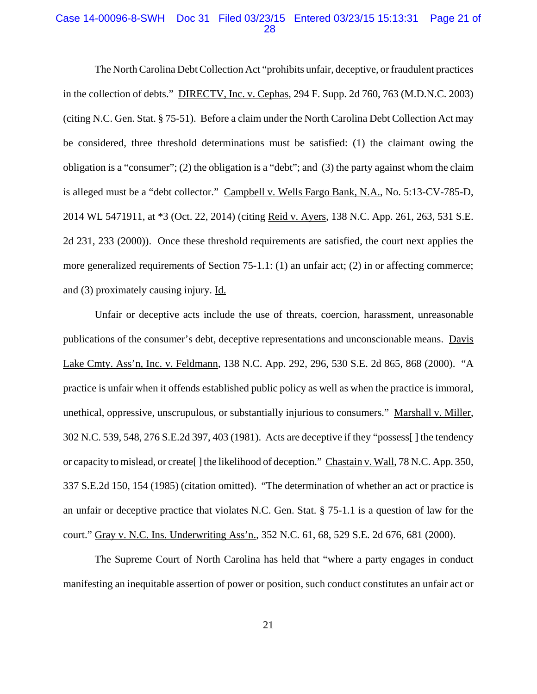### Case 14-00096-8-SWH Doc 31 Filed 03/23/15 Entered 03/23/15 15:13:31 Page 21 of 28

The North Carolina Debt Collection Act "prohibits unfair, deceptive, or fraudulent practices in the collection of debts." DIRECTV, Inc. v. Cephas, 294 F. Supp. 2d 760, 763 (M.D.N.C. 2003) (citing N.C. Gen. Stat. § 75-51). Before a claim under the North Carolina Debt Collection Act may be considered, three threshold determinations must be satisfied: (1) the claimant owing the obligation is a "consumer"; (2) the obligation is a "debt"; and (3) the party against whom the claim is alleged must be a "debt collector." Campbell v. Wells Fargo Bank, N.A., No. 5:13-CV-785-D, 2014 WL 5471911, at \*3 (Oct. 22, 2014) (citing Reid v. Ayers, 138 N.C. App. 261, 263, 531 S.E. 2d 231, 233 (2000)). Once these threshold requirements are satisfied, the court next applies the more generalized requirements of Section 75-1.1: (1) an unfair act; (2) in or affecting commerce; and (3) proximately causing injury. Id.

Unfair or deceptive acts include the use of threats, coercion, harassment, unreasonable publications of the consumer's debt, deceptive representations and unconscionable means. Davis Lake Cmty. Ass'n, Inc. v. Feldmann, 138 N.C. App. 292, 296, 530 S.E. 2d 865, 868 (2000). "A practice is unfair when it offends established public policy as well as when the practice is immoral, unethical, oppressive, unscrupulous, or substantially injurious to consumers." Marshall v. Miller, 302 N.C. 539, 548, 276 S.E.2d 397, 403 (1981). Acts are deceptive if they "possess[ ] the tendency or capacity to mislead, or create[ ] the likelihood of deception." Chastain v. Wall, 78 N.C. App. 350, 337 S.E.2d 150, 154 (1985) (citation omitted). "The determination of whether an act or practice is an unfair or deceptive practice that violates N.C. Gen. Stat. § 75-1.1 is a question of law for the court." Gray v. N.C. Ins. Underwriting Ass'n., 352 N.C. 61, 68, 529 S.E. 2d 676, 681 (2000).

The Supreme Court of North Carolina has held that "where a party engages in conduct manifesting an inequitable assertion of power or position, such conduct constitutes an unfair act or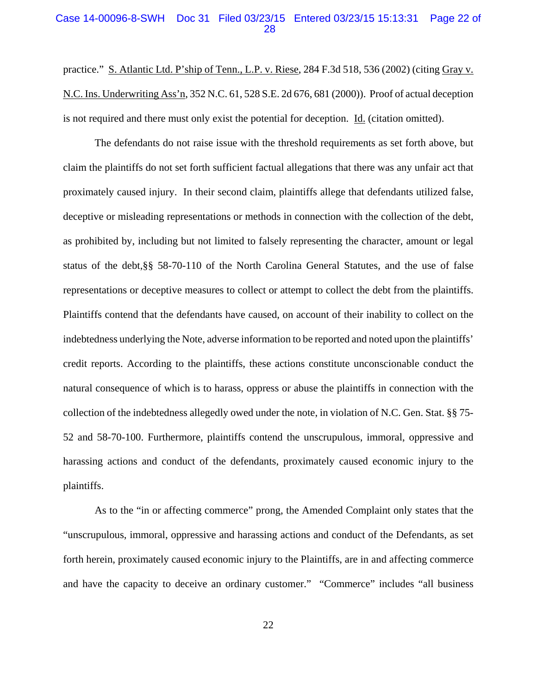### Case 14-00096-8-SWH Doc 31 Filed 03/23/15 Entered 03/23/15 15:13:31 Page 22 of 28

practice." S. Atlantic Ltd. P'ship of Tenn., L.P. v. Riese, 284 F.3d 518, 536 (2002) (citing Gray v. N.C. Ins. Underwriting Ass'n, 352 N.C. 61, 528 S.E. 2d 676, 681 (2000)). Proof of actual deception is not required and there must only exist the potential for deception. Id. (citation omitted).

The defendants do not raise issue with the threshold requirements as set forth above, but claim the plaintiffs do not set forth sufficient factual allegations that there was any unfair act that proximately caused injury. In their second claim, plaintiffs allege that defendants utilized false, deceptive or misleading representations or methods in connection with the collection of the debt, as prohibited by, including but not limited to falsely representing the character, amount or legal status of the debt,§§ 58-70-110 of the North Carolina General Statutes, and the use of false representations or deceptive measures to collect or attempt to collect the debt from the plaintiffs. Plaintiffs contend that the defendants have caused, on account of their inability to collect on the indebtedness underlying the Note, adverse information to be reported and noted upon the plaintiffs' credit reports. According to the plaintiffs, these actions constitute unconscionable conduct the natural consequence of which is to harass, oppress or abuse the plaintiffs in connection with the collection of the indebtedness allegedly owed under the note, in violation of N.C. Gen. Stat. §§ 75- 52 and 58-70-100. Furthermore, plaintiffs contend the unscrupulous, immoral, oppressive and harassing actions and conduct of the defendants, proximately caused economic injury to the plaintiffs.

As to the "in or affecting commerce" prong, the Amended Complaint only states that the "unscrupulous, immoral, oppressive and harassing actions and conduct of the Defendants, as set forth herein, proximately caused economic injury to the Plaintiffs, are in and affecting commerce and have the capacity to deceive an ordinary customer." "Commerce" includes "all business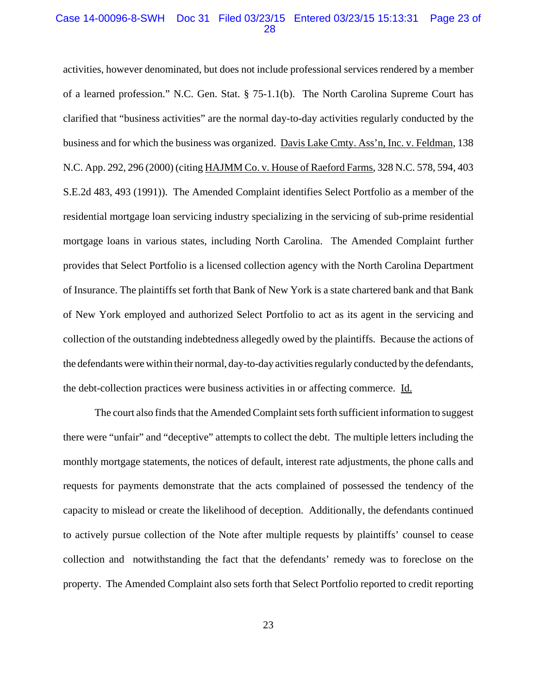### Case 14-00096-8-SWH Doc 31 Filed 03/23/15 Entered 03/23/15 15:13:31 Page 23 of 28

activities, however denominated, but does not include professional services rendered by a member of a learned profession." N.C. Gen. Stat. § 75-1.1(b). The North Carolina Supreme Court has clarified that "business activities" are the normal day-to-day activities regularly conducted by the business and for which the business was organized. Davis Lake Cmty. Ass'n, Inc. v. Feldman, 138 N.C. App. 292, 296 (2000) (citing HAJMM Co. v. House of Raeford Farms, 328 N.C. 578, 594, 403 S.E.2d 483, 493 (1991)). The Amended Complaint identifies Select Portfolio as a member of the residential mortgage loan servicing industry specializing in the servicing of sub-prime residential mortgage loans in various states, including North Carolina. The Amended Complaint further provides that Select Portfolio is a licensed collection agency with the North Carolina Department of Insurance. The plaintiffs set forth that Bank of New York is a state chartered bank and that Bank of New York employed and authorized Select Portfolio to act as its agent in the servicing and collection of the outstanding indebtedness allegedly owed by the plaintiffs. Because the actions of the defendants were within their normal, day-to-day activities regularly conducted by the defendants, the debt-collection practices were business activities in or affecting commerce. Id.

The court also finds that the Amended Complaint sets forth sufficient information to suggest there were "unfair" and "deceptive" attempts to collect the debt. The multiple letters including the monthly mortgage statements, the notices of default, interest rate adjustments, the phone calls and requests for payments demonstrate that the acts complained of possessed the tendency of the capacity to mislead or create the likelihood of deception. Additionally, the defendants continued to actively pursue collection of the Note after multiple requests by plaintiffs' counsel to cease collection and notwithstanding the fact that the defendants' remedy was to foreclose on the property. The Amended Complaint also sets forth that Select Portfolio reported to credit reporting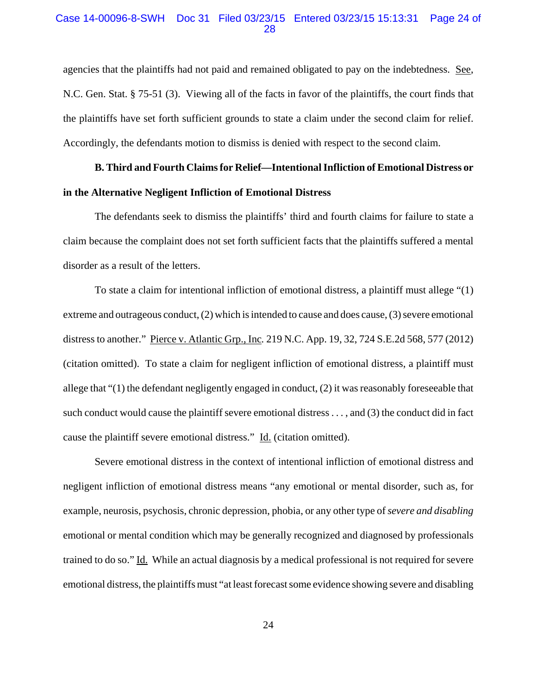### Case 14-00096-8-SWH Doc 31 Filed 03/23/15 Entered 03/23/15 15:13:31 Page 24 of 28

agencies that the plaintiffs had not paid and remained obligated to pay on the indebtedness. See, N.C. Gen. Stat. § 75-51 (3). Viewing all of the facts in favor of the plaintiffs, the court finds that the plaintiffs have set forth sufficient grounds to state a claim under the second claim for relief. Accordingly, the defendants motion to dismiss is denied with respect to the second claim.

# **B. Third and Fourth Claims for Relief—Intentional Infliction of Emotional Distress or in the Alternative Negligent Infliction of Emotional Distress**

The defendants seek to dismiss the plaintiffs' third and fourth claims for failure to state a claim because the complaint does not set forth sufficient facts that the plaintiffs suffered a mental disorder as a result of the letters.

To state a claim for intentional infliction of emotional distress, a plaintiff must allege "(1) extreme and outrageous conduct, (2) which is intended to cause and does cause, (3) severe emotional distress to another." Pierce v. Atlantic Grp., Inc*.* 219 N.C. App. 19, 32, 724 S.E.2d 568, 577 (2012) (citation omitted). To state a claim for negligent infliction of emotional distress, a plaintiff must allege that "(1) the defendant negligently engaged in conduct, (2) it was reasonably foreseeable that such conduct would cause the plaintiff severe emotional distress . . . , and (3) the conduct did in fact cause the plaintiff severe emotional distress." Id. (citation omitted).

Severe emotional distress in the context of intentional infliction of emotional distress and negligent infliction of emotional distress means "any emotional or mental disorder, such as, for example, neurosis, psychosis, chronic depression, phobia, or any other type of *severe and disabling* emotional or mental condition which may be generally recognized and diagnosed by professionals trained to do so." Id. While an actual diagnosis by a medical professional is not required for severe emotional distress, the plaintiffs must "at least forecast some evidence showing severe and disabling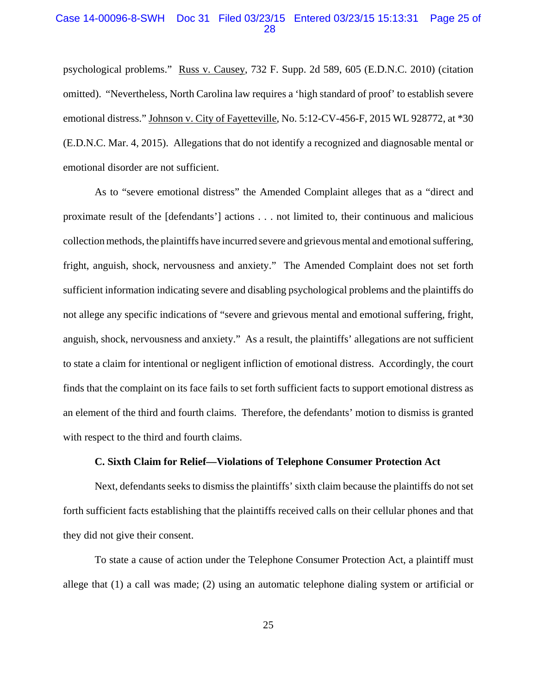### Case 14-00096-8-SWH Doc 31 Filed 03/23/15 Entered 03/23/15 15:13:31 Page 25 of 28

psychological problems." Russ v. Causey, 732 F. Supp. 2d 589, 605 (E.D.N.C. 2010) (citation omitted). "Nevertheless, North Carolina law requires a 'high standard of proof' to establish severe emotional distress." Johnson v. City of Fayetteville, No. 5:12-CV-456-F, 2015 WL 928772, at \*30 (E.D.N.C. Mar. 4, 2015). Allegations that do not identify a recognized and diagnosable mental or emotional disorder are not sufficient.

As to "severe emotional distress" the Amended Complaint alleges that as a "direct and proximate result of the [defendants'] actions . . . not limited to, their continuous and malicious collection methods, the plaintiffs have incurred severe and grievous mental and emotional suffering, fright, anguish, shock, nervousness and anxiety." The Amended Complaint does not set forth sufficient information indicating severe and disabling psychological problems and the plaintiffs do not allege any specific indications of "severe and grievous mental and emotional suffering, fright, anguish, shock, nervousness and anxiety." As a result, the plaintiffs' allegations are not sufficient to state a claim for intentional or negligent infliction of emotional distress. Accordingly, the court finds that the complaint on its face fails to set forth sufficient facts to support emotional distress as an element of the third and fourth claims. Therefore, the defendants' motion to dismiss is granted with respect to the third and fourth claims.

### **C. Sixth Claim for Relief—Violations of Telephone Consumer Protection Act**

Next, defendants seeks to dismiss the plaintiffs' sixth claim because the plaintiffs do not set forth sufficient facts establishing that the plaintiffs received calls on their cellular phones and that they did not give their consent.

To state a cause of action under the Telephone Consumer Protection Act, a plaintiff must allege that (1) a call was made; (2) using an automatic telephone dialing system or artificial or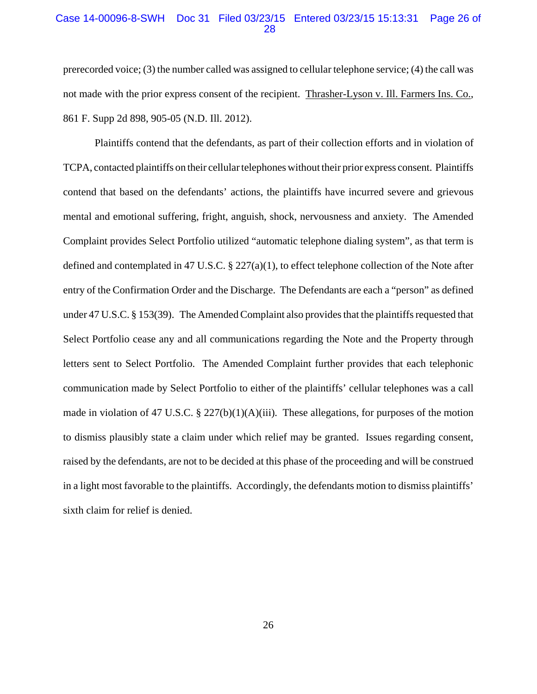### Case 14-00096-8-SWH Doc 31 Filed 03/23/15 Entered 03/23/15 15:13:31 Page 26 of 28

prerecorded voice; (3) the number called was assigned to cellular telephone service; (4) the call was not made with the prior express consent of the recipient. Thrasher-Lyson v. Ill. Farmers Ins. Co., 861 F. Supp 2d 898, 905-05 (N.D. Ill. 2012).

Plaintiffs contend that the defendants, as part of their collection efforts and in violation of TCPA, contacted plaintiffs on their cellular telephones without their prior express consent. Plaintiffs contend that based on the defendants' actions, the plaintiffs have incurred severe and grievous mental and emotional suffering, fright, anguish, shock, nervousness and anxiety. The Amended Complaint provides Select Portfolio utilized "automatic telephone dialing system", as that term is defined and contemplated in 47 U.S.C. § 227(a)(1), to effect telephone collection of the Note after entry of the Confirmation Order and the Discharge. The Defendants are each a "person" as defined under 47 U.S.C. § 153(39). The Amended Complaint also provides that the plaintiffs requested that Select Portfolio cease any and all communications regarding the Note and the Property through letters sent to Select Portfolio. The Amended Complaint further provides that each telephonic communication made by Select Portfolio to either of the plaintiffs' cellular telephones was a call made in violation of 47 U.S.C. § 227(b)(1)(A)(iii). These allegations, for purposes of the motion to dismiss plausibly state a claim under which relief may be granted. Issues regarding consent, raised by the defendants, are not to be decided at this phase of the proceeding and will be construed in a light most favorable to the plaintiffs. Accordingly, the defendants motion to dismiss plaintiffs' sixth claim for relief is denied.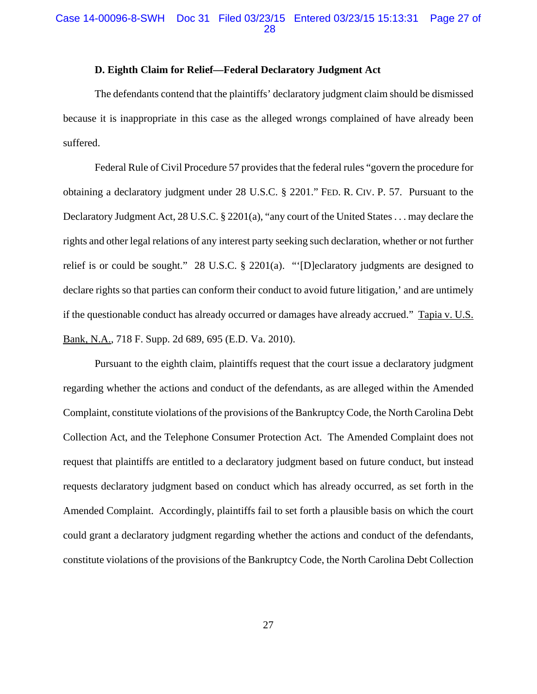### **D. Eighth Claim for Relief—Federal Declaratory Judgment Act**

The defendants contend that the plaintiffs' declaratory judgment claim should be dismissed because it is inappropriate in this case as the alleged wrongs complained of have already been suffered.

Federal Rule of Civil Procedure 57 provides that the federal rules "govern the procedure for obtaining a declaratory judgment under 28 U.S.C. § 2201." FED. R. CIV. P. 57. Pursuant to the Declaratory Judgment Act, 28 U.S.C. § 2201(a), "any court of the United States . . . may declare the rights and other legal relations of any interest party seeking such declaration, whether or not further relief is or could be sought." 28 U.S.C. § 2201(a). "'[D]eclaratory judgments are designed to declare rights so that parties can conform their conduct to avoid future litigation,' and are untimely if the questionable conduct has already occurred or damages have already accrued." Tapia v. U.S. Bank, N.A., 718 F. Supp. 2d 689, 695 (E.D. Va. 2010).

Pursuant to the eighth claim, plaintiffs request that the court issue a declaratory judgment regarding whether the actions and conduct of the defendants, as are alleged within the Amended Complaint, constitute violations of the provisions of the Bankruptcy Code, the North Carolina Debt Collection Act, and the Telephone Consumer Protection Act. The Amended Complaint does not request that plaintiffs are entitled to a declaratory judgment based on future conduct, but instead requests declaratory judgment based on conduct which has already occurred, as set forth in the Amended Complaint. Accordingly, plaintiffs fail to set forth a plausible basis on which the court could grant a declaratory judgment regarding whether the actions and conduct of the defendants, constitute violations of the provisions of the Bankruptcy Code, the North Carolina Debt Collection